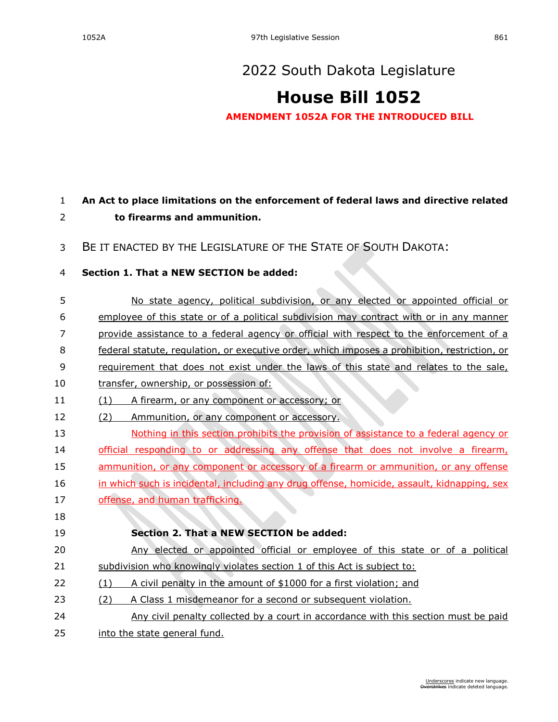## **[House Bill 1052](https://sdlegislature.gov/Session/Bill/22683)**

**AMENDMENT 1052A FOR THE INTRODUCED BILL**

## **An Act to place limitations on the enforcement of federal laws and directive related to firearms and ammunition.**

BE IT ENACTED BY THE LEGISLATURE OF THE STATE OF SOUTH DAKOTA:

## **Section 1. That a NEW SECTION be added:**

 No state agency, political subdivision, or any elected or appointed official or employee of this state or of a political subdivision may contract with or in any manner provide assistance to a federal agency or official with respect to the enforcement of a federal statute, regulation, or executive order, which imposes a prohibition, restriction, or 9 requirement that does not exist under the laws of this state and relates to the sale, transfer, ownership, or possession of: (1) A firearm, or any component or accessory; or 12 (2) Ammunition, or any component or accessory. Nothing in this section prohibits the provision of assistance to a federal agency or official responding to or addressing any offense that does not involve a firearm, ammunition, or any component or accessory of a firearm or ammunition, or any offense in which such is incidental, including any drug offense, homicide, assault, kidnapping, sex offense, and human trafficking. **Section 2. That a NEW SECTION be added:** Any elected or appointed official or employee of this state or of a political 21 subdivision who knowingly violates section 1 of this Act is subject to: (1) A civil penalty in the amount of \$1000 for a first violation; and (2) A Class 1 misdemeanor for a second or subsequent violation. Any civil penalty collected by a court in accordance with this section must be paid into the state general fund.